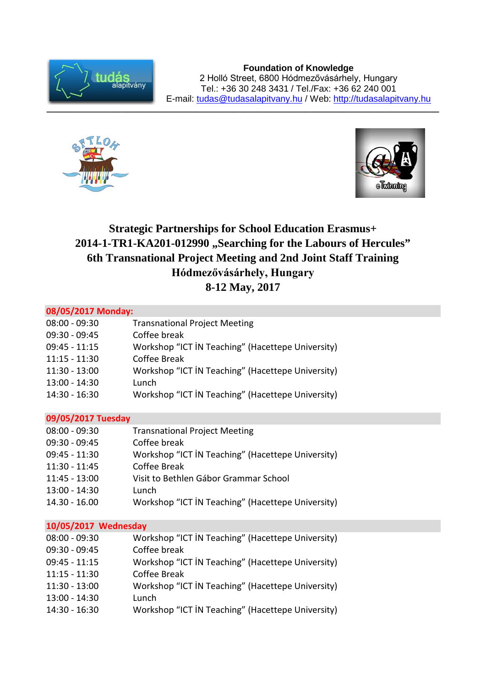

**Foundation of Knowledge** 2 Holló Street, 6800 Hódmezővásárhely, Hungary Tel.: +36 30 248 3431 / Tel./Fax: +36 62 240 001 E-mail: [tudas@tudasalapitvany.hu](mailto:tudas@tudasalapitvany.hu) / Web: [http://tudasalapitvany.hu](http://tudasalapitvany.hu/)





## **Strategic Partnerships for School Education Erasmus+** <sup>2014-1-TR1-KA201-012990</sub>, Searching for the Labours of Hercules"</sup> **6th Transnational Project Meeting and 2nd Joint Staff Training Hódmezővásárhely, Hungary 8-12 May, 2017**

| 08/05/2017 Monday:   |                                                   |
|----------------------|---------------------------------------------------|
| $08:00 - 09:30$      | <b>Transnational Project Meeting</b>              |
| $09:30 - 09:45$      | Coffee break                                      |
| $09:45 - 11:15$      | Workshop "ICT IN Teaching" (Hacettepe University) |
| $11:15 - 11:30$      | Coffee Break                                      |
| $11:30 - 13:00$      | Workshop "ICT IN Teaching" (Hacettepe University) |
| $13:00 - 14:30$      | Lunch                                             |
| 14:30 - 16:30        | Workshop "ICT IN Teaching" (Hacettepe University) |
| 09/05/2017 Tuesday   |                                                   |
| $08:00 - 09:30$      | <b>Transnational Project Meeting</b>              |
| $09:30 - 09:45$      | Coffee break                                      |
| $09:45 - 11:30$      | Workshop "ICT IN Teaching" (Hacettepe University) |
| $11:30 - 11:45$      | Coffee Break                                      |
| $11:45 - 13:00$      | Visit to Bethlen Gábor Grammar School             |
| $13:00 - 14:30$      | Lunch                                             |
| $14.30 - 16.00$      | Workshop "ICT IN Teaching" (Hacettepe University) |
| 10/05/2017 Wednesday |                                                   |
| $08:00 - 09:30$      | Workshop "ICT IN Teaching" (Hacettepe University) |
| $09:30 - 09:45$      | Coffee break                                      |
| $09:45 - 11:15$      | Workshop "ICT IN Teaching" (Hacettepe University) |
| $11:15 - 11:30$      | Coffee Break                                      |
| $11:30 - 13:00$      | Workshop "ICT IN Teaching" (Hacettepe University) |
| 13:00 - 14:30        | Lunch                                             |
| 14:30 - 16:30        | Workshop "ICT IN Teaching" (Hacettepe University) |
|                      |                                                   |